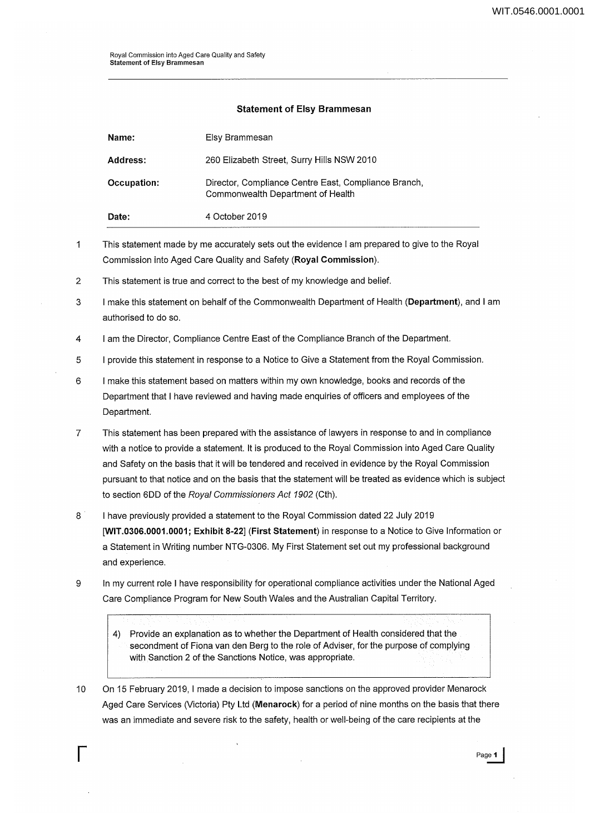## Statement of Elsy Brammesan

| Date:       | 4 October 2019                                                                            |  |
|-------------|-------------------------------------------------------------------------------------------|--|
| Occupation: | Director, Compliance Centre East, Compliance Branch,<br>Commonwealth Department of Health |  |
| Address:    | 260 Elizabeth Street, Surry Hills NSW 2010                                                |  |
| Name:       | Elsy Brammesan                                                                            |  |

- $\mathbf{1}$ This statement made by me accurately sets out the evidence I am prepared to give to the Royal Commission into Aged Care Quality and Safety (Royal Commission).
- 2 This statement is true and correct to the best of my knowledge and belief.
- 3 I make this statement on behalf of the Commonwealth Department of Health (Department), and I am authorised to do so.
- 4 I am the Director, Compliance Centre East of the Compliance Branch of the Department.
- 5 I provide this statement in response to a Notice to Give a Statement from the Royal Commission.
- 6 I make this statement based on matters within my own knowledge, books and records of the Department that I have reviewed and having made enquiries of officers and employees of the Department.
- 7 This statement has been prepared with the assistance of lawyers in response to and in compliance with a notice to provide a statement. It is produced to the Royal Commission into Aged Care Quality and Safety on the basis that it will be tendered and received in evidence by the Royal Commission pursuant to that notice and on the basis that the statement will be treated as evidence which is subject to section 6DD of the Royal Commissioners Act 1902 (Cth).
- 8 I have previously provided a statement to the Royal Commission dated 22 July 2019 [WIT.0306.0001.0001; Exhibit 8-22] (First Statement) in response to a Notice to Give Information or a Statement in Writing number NTG-0306. My First Statement set out my professional background and experience.
- 9 In my current role I have responsibility for operational compliance activities under the National Aged Care Compliance Program for New South Wales and the Australian Capital Territory.
	- 4) Provide an explanation as to whether the Department of Health considered that the secondment of Fiona van den Berg to the role of Adviser, for the purpose of complying with Sanction 2 of the Sanctions Notice, was appropriate.
- 10 On 15 February 2019, I made a decision to impose sanctions on the approved provider Menarock Aged Care Services (Victoria) Pty Ltd (Menarock) for a period of nine months on the basis that there was an immediate and severe risk to the safety, health or well-being of the care recipients at the

r age 1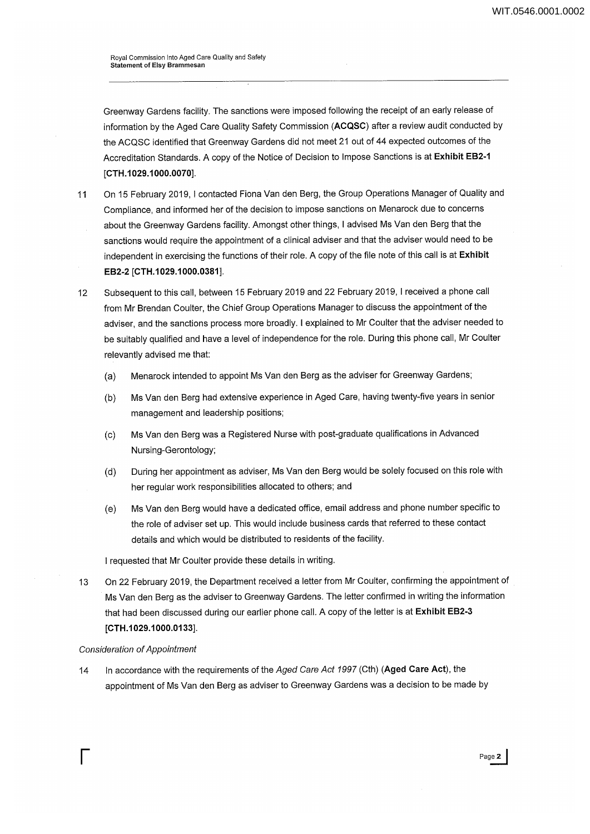Royal Commission into Aged Care Quality and Safety Statement of Elsy Brammesan

Greenway Gardens facility. The sanctions were imposed following the receipt of an early release of information by the Aged Care Quality Safety Commission **(ACQSC)** after a review audit conducted by the ACQSC identified that Greenway Gardens did not meet 21 out of 44 expected outcomes of the Accreditation Standards. A copy of the Notice of Decision to Impose Sanctions is at **Exhibit EB2-1 [CTH.1 029.1 000.0070].** 

- 11 On 15 February 2019, I contacted Fiona Van den Berg, the Group Operations Manager of Quality and Compliance, and informed her of the decision to impose sanctions on Menarock due to concerns about the Greenway Gardens facility. Amongst other things, I advised Ms Van den Berg that the sanctions would require the appointment of a clinical adviser and that the adviser would need to be independent in exercising the functions of their role. A copy of the file note of this call is at **Exhibit EB2-2 [CTH.1029.1000.0381].**
- 12 Subsequent to this call, between 15 February 2019 and 22 February 2019, I received a phone call from Mr Brendan Coulter, the Chief Group Operations Manager to discuss the appointment of the adviser, and the sanctions process more broadly. I explained to Mr Coulter that the adviser needed to be suitably qualified and have a level of independence for the role. During this phone call, Mr Coulter relevantly advised me that:
	- (a) Menarock intended to appoint Ms Van den Berg as the adviser for Greenway Gardens;
	- (b) Ms Van den Berg had extensive experience in Aged Care, having twenty-five years in senior management and leadership positions;
	- (c) Ms Van den Berg was a Registered Nurse with post-graduate qualifications in Advanced Nursing-Gerontology;
	- (d) During her appointment as adviser, Ms Van den Berg would be solely focused on this role with her regular work responsibilities allocated to others; and
	- (e) Ms Van den Berg would have a dedicated office, email address and phone number specific to the role of adviser set up. This would include business cards that referred to these contact details and which would be distributed to residents of the facility.

I requested that Mr Coulter provide these details in writing.

13 On 22 February 2019, the Department received a letter from Mr Coulter, confirming the appointment of Ms Van den Berg as the adviser to Greenway Gardens. The letter confirmed in writing the information that had been discussed during our earlier phone call. A copy of the letter is at **Exhibit EB2-3 [CTH.1 029.1 000.0133].** 

## Consideration of Appointment

14 In accordance with the requirements of the Aged Care Act 1997 (Cth) **(Aged Care** Act), the appointment of Ms Van den Berg as adviser to Greenway Gardens was a decision to be made by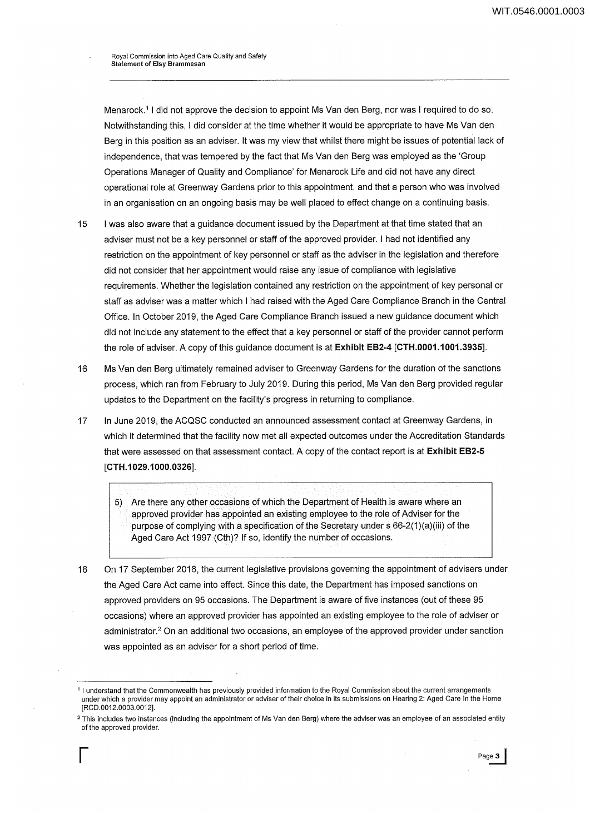Royal Commission into Aged Care Quality and Safety Statement of Elsy Brammesan

Menarock.<sup>1</sup> I did not approve the decision to appoint Ms Van den Berg, nor was I required to do so. Notwithstanding this, I did consider at the time whether it would be appropriate to have Ms Van den Berg in this position as an adviser. It was my view that whilst there might be issues of potential lack of independence, that was tempered by the fact that Ms Van den Berg was employed as the 'Group Operations Manager of Quality and Compliance' for Menarock Life and did not have any direct operational role at Greenway Gardens prior to this appointment, and that a person who was involved in an organisation on an ongoing basis may be well placed to effect change on a continuing basis.

- 15 I was also aware that a guidance document issued by the Department at that time stated that an adviser must not be a key personnel or staff of the approved provider. I had not identified any restriction on the appointment of key personnel or staff as the adviser in the legislation and therefore did not consider that her appointment would raise any issue of compliance with legislative requirements. Whether the legislation contained any restriction on the appointment of key personal or staff as adviser was a matter which I had raised with the Aged Care Compliance Branch in the Central Office. In October 2019, the Aged Care Compliance Branch issued a new guidance document which did not include any statement to the effect that a key personnel or staff of the provider cannot perform the role of adviser. A copy of this guidance document is at **Exhibit EB2-4 [CTH.0001.1 001.3935].**
- 16 Ms Van den Berg ultimately remained adviser to Greenway Gardens for the duration of the sanctions process, which ran from February to July 2019. During this period, Ms Van den Berg provided regular updates to the Department on the facility's progress in returning to compliance.
- 17 In June 2019, the ACQSC conducted an announced assessment contact at Greenway Gardens, in which it determined that the facility now met all expected outcomes under the Accreditation Standards that were assessed on that assessment contact. A copy of the contact report is at **Exhibit EB2-5 [CTH.1 029.1 000.0326].**

5) Are there any other occasions of which the Department of Health is aware where an approved provider has appointed an existing employee to the role of Adviser for the purpose of complying with a specification of the Secretary under s 66-2(1)(a)(iii) of the Aged Care Act 1997 (Cth)? **If** so, identify the number of occasions.

18 On 17 September 2016, the current legislative provisions governing the appointment of advisers under the Aged Care Act came into effect. Since this date, the Department has imposed sanctions on approved providers on 95 occasions. The Department is aware of five instances (out of these 95 occasions) where an approved provider has appointed an existing employee to the role of adviser or administrator.2 On an additional two occasions, an employee of the approved provider under sanction was appointed as an adviser for a short period of time.

<sup>1</sup> I understand that the Commonwealth has previously provided information to the Royal Commission about the current arrangements under which a provider may appoint an administrator or adviser of their choice in its submissions on Hearing 2: Aged Care In the Home [RCD.0012.0003.0012].

<sup>&</sup>lt;sup>2</sup> This includes two instances (including the appointment of Ms Van den Berg) where the adviser was an employee of an associated entity ofthe approved provider.